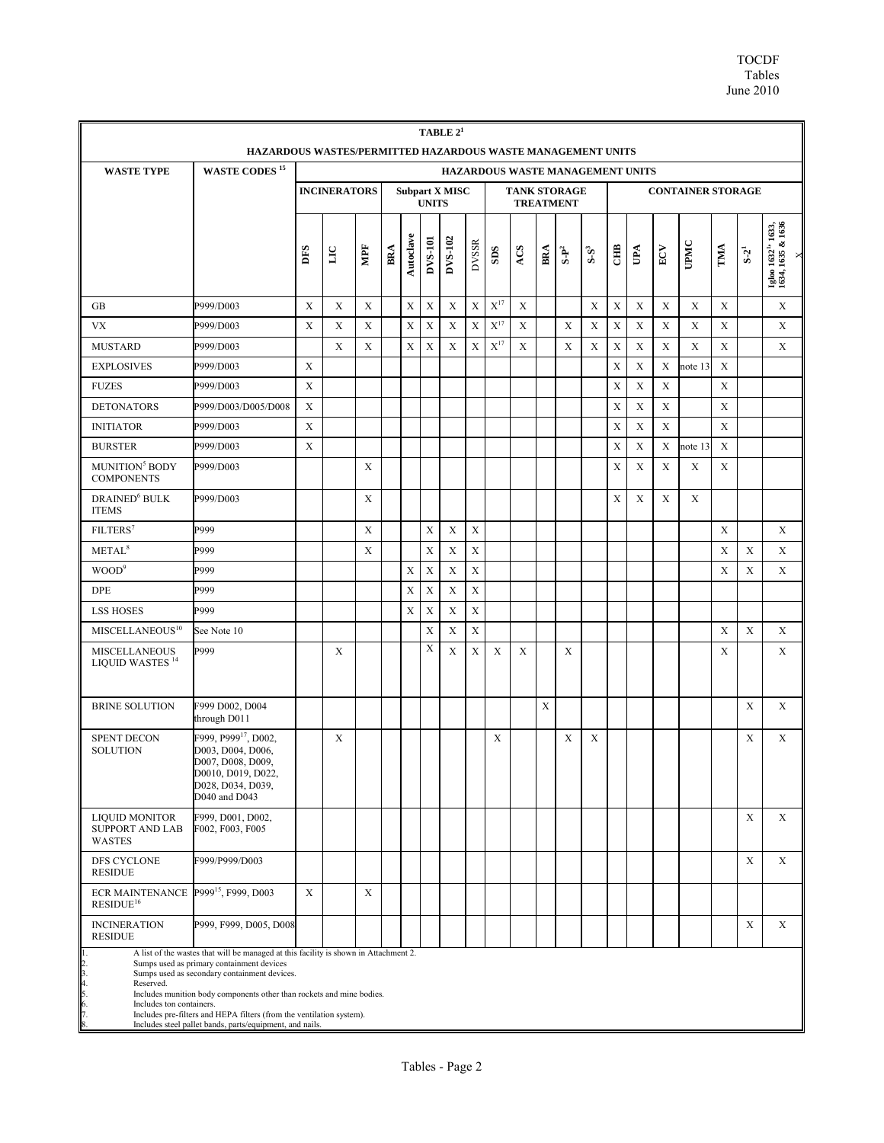| TABLE $2^1$<br>HAZARDOUS WASTES/PERMITTED HAZARDOUS WASTE MANAGEMENT UNITS |                                                                                                                                                                                                                                                                                                                                                                                                |                                                              |                         |             |     |             |                                         |             |              |                   |     |     |                                  |             |             |     |              |         |             |             |                                                           |
|----------------------------------------------------------------------------|------------------------------------------------------------------------------------------------------------------------------------------------------------------------------------------------------------------------------------------------------------------------------------------------------------------------------------------------------------------------------------------------|--------------------------------------------------------------|-------------------------|-------------|-----|-------------|-----------------------------------------|-------------|--------------|-------------------|-----|-----|----------------------------------|-------------|-------------|-----|--------------|---------|-------------|-------------|-----------------------------------------------------------|
| <b>WASTE TYPE</b>                                                          | HAZARDOUS WASTE MANAGEMENT UNITS                                                                                                                                                                                                                                                                                                                                                               |                                                              |                         |             |     |             |                                         |             |              |                   |     |     |                                  |             |             |     |              |         |             |             |                                                           |
|                                                                            |                                                                                                                                                                                                                                                                                                                                                                                                | <b>INCINERATORS</b><br><b>Subpart X MISC</b><br><b>UNITS</b> |                         |             |     |             | <b>TANK STORAGE</b><br><b>TREATMENT</b> |             |              |                   |     |     | <b>CONTAINER STORAGE</b>         |             |             |     |              |         |             |             |                                                           |
|                                                                            |                                                                                                                                                                                                                                                                                                                                                                                                | DFS                                                          | $\overline{\mathbf{L}}$ | MPF         | BRA | Autoclave   | DVS-101                                 | DVS-102     | <b>DVSSR</b> | SDS               | ACS | BRA | $\mathbf{S}\text{-}\mathbf{P}^2$ | $S-S^3$     | Ë           | UPA | $_{\rm ECV}$ | UPMC    | TMA         | $S-2^1$     | Igloo 1632 <sup>1</sup> ' 1633,<br>1634, 1635 & 1636<br>× |
| GB                                                                         | P999/D003                                                                                                                                                                                                                                                                                                                                                                                      | X                                                            | $\mathbf X$             | X           |     | X           | X                                       | X           | X            | $\mathbf{X}^{17}$ | X   |     |                                  | X           | X           | X   | X            | X       | $\mathbf X$ |             | X                                                         |
| <b>VX</b>                                                                  | P999/D003                                                                                                                                                                                                                                                                                                                                                                                      | X                                                            | X                       | $\mathbf X$ |     | $\mathbf X$ | X                                       | X           | $\mathbf X$  | $X^{17}$          | X   |     | X                                | $\mathbf X$ | $\mathbf X$ | X   | $\mathbf X$  | X       | $\mathbf X$ |             | X                                                         |
| <b>MUSTARD</b>                                                             | P999/D003                                                                                                                                                                                                                                                                                                                                                                                      |                                                              | X                       | X           |     | X           | X                                       | X           | X            | $X^{17}$          | X   |     | X                                | X           | X           | X   | X            | X       | X           |             | X                                                         |
| <b>EXPLOSIVES</b>                                                          | P999/D003                                                                                                                                                                                                                                                                                                                                                                                      | X                                                            |                         |             |     |             |                                         |             |              |                   |     |     |                                  |             | X           | X   | X            | note 13 | X           |             |                                                           |
| <b>FUZES</b>                                                               | P999/D003                                                                                                                                                                                                                                                                                                                                                                                      | X                                                            |                         |             |     |             |                                         |             |              |                   |     |     |                                  |             | X           | X   | $\mathbf X$  |         | X           |             |                                                           |
| <b>DETONATORS</b>                                                          | P999/D003/D005/D008                                                                                                                                                                                                                                                                                                                                                                            | X                                                            |                         |             |     |             |                                         |             |              |                   |     |     |                                  |             | X           | X   | X            |         | $\mathbf X$ |             |                                                           |
| <b>INITIATOR</b>                                                           | P999/D003                                                                                                                                                                                                                                                                                                                                                                                      | X                                                            |                         |             |     |             |                                         |             |              |                   |     |     |                                  |             | X           | X   | X            |         | X           |             |                                                           |
| <b>BURSTER</b>                                                             | P999/D003                                                                                                                                                                                                                                                                                                                                                                                      | X                                                            |                         |             |     |             |                                         |             |              |                   |     |     |                                  |             | X           | X   | X            | note 13 | X           |             |                                                           |
| MUNITION <sup>5</sup> BODY<br><b>COMPONENTS</b>                            | P999/D003                                                                                                                                                                                                                                                                                                                                                                                      |                                                              |                         | X           |     |             |                                         |             |              |                   |     |     |                                  |             | X           | X   | X            | X       | X           |             |                                                           |
| DRAINED <sup>6</sup> BULK<br><b>ITEMS</b>                                  | P999/D003                                                                                                                                                                                                                                                                                                                                                                                      |                                                              |                         | X           |     |             |                                         |             |              |                   |     |     |                                  |             | X           | X   | X            | X       |             |             |                                                           |
| FILTERS <sup>7</sup>                                                       | P999                                                                                                                                                                                                                                                                                                                                                                                           |                                                              |                         | X           |     |             | X                                       | X           | $\mathbf X$  |                   |     |     |                                  |             |             |     |              |         | X           |             | X                                                         |
| METAL <sup>8</sup>                                                         | P999                                                                                                                                                                                                                                                                                                                                                                                           |                                                              |                         | X           |     |             | $\mathbf X$                             | X           | $\mathbf X$  |                   |     |     |                                  |             |             |     |              |         | X           | X           | X                                                         |
| WOOD <sup>9</sup>                                                          | P999                                                                                                                                                                                                                                                                                                                                                                                           |                                                              |                         |             |     | X           | X                                       | X           | $\mathbf X$  |                   |     |     |                                  |             |             |     |              |         | X           | X           | X                                                         |
| <b>DPE</b>                                                                 | P999                                                                                                                                                                                                                                                                                                                                                                                           |                                                              |                         |             |     | X           | X                                       | $\mathbf X$ | $\mathbf X$  |                   |     |     |                                  |             |             |     |              |         |             |             |                                                           |
| <b>LSS HOSES</b>                                                           | P999                                                                                                                                                                                                                                                                                                                                                                                           |                                                              |                         |             |     | X           | X                                       | X           | $\mathbf X$  |                   |     |     |                                  |             |             |     |              |         |             |             |                                                           |
| MISCELLANEOUS <sup>10</sup>                                                | See Note 10                                                                                                                                                                                                                                                                                                                                                                                    |                                                              |                         |             |     |             | X                                       | X           | X            |                   |     |     |                                  |             |             |     |              |         | X           | X           | X                                                         |
| <b>MISCELLANEOUS</b><br>LIQUID WASTES <sup>14</sup>                        | P999                                                                                                                                                                                                                                                                                                                                                                                           |                                                              | X                       |             |     |             | X                                       | $\mathbf X$ | $\mathbf X$  | $\mathbf X$       | X   |     | X                                |             |             |     |              |         | X           |             | X                                                         |
| <b>BRINE SOLUTION</b>                                                      | F999 D002, D004<br>through D011                                                                                                                                                                                                                                                                                                                                                                |                                                              |                         |             |     |             |                                         |             |              |                   |     | X   |                                  |             |             |     |              |         |             | X           | X                                                         |
| <b>SPENT DECON</b><br><b>SOLUTION</b>                                      | F999, P999 <sup>17</sup> , D002,<br>D003, D004, D006,<br>D007, D008, D009,<br>D0010, D019, D022,<br>D028, D034, D039,<br>D040 and D043                                                                                                                                                                                                                                                         |                                                              | X                       |             |     |             |                                         |             |              | X                 |     |     | X                                | X           |             |     |              |         |             | X           | X                                                         |
| <b>LIQUID MONITOR</b><br><b>SUPPORT AND LAB</b><br><b>WASTES</b>           | F999, D001, D002,<br>F002, F003, F005                                                                                                                                                                                                                                                                                                                                                          |                                                              |                         |             |     |             |                                         |             |              |                   |     |     |                                  |             |             |     |              |         |             | X           | $\mathbf X$                                               |
| DFS CYCLONE<br><b>RESIDUE</b>                                              | F999/P999/D003                                                                                                                                                                                                                                                                                                                                                                                 |                                                              |                         |             |     |             |                                         |             |              |                   |     |     |                                  |             |             |     |              |         |             | X           | X                                                         |
| ECR MAINTENANCE P999 <sup>15</sup> , F999, D003<br>RESIDUE <sup>16</sup>   |                                                                                                                                                                                                                                                                                                                                                                                                | $\mathbf X$                                                  |                         | X           |     |             |                                         |             |              |                   |     |     |                                  |             |             |     |              |         |             |             |                                                           |
| <b>INCINERATION</b><br><b>RESIDUE</b>                                      | P999, F999, D005, D008                                                                                                                                                                                                                                                                                                                                                                         |                                                              |                         |             |     |             |                                         |             |              |                   |     |     |                                  |             |             |     |              |         |             | $\mathbf X$ | $\mathbf X$                                               |
| 2. 3. 4. 5. 6. 7. 8.<br>Reserved.<br>Includes ton containers.              | A list of the wastes that will be managed at this facility is shown in Attachment 2.<br>Sumps used as primary containment devices<br>Sumps used as secondary containment devices.<br>Includes munition body components other than rockets and mine bodies.<br>Includes pre-filters and HEPA filters (from the ventilation system).<br>Includes steel pallet bands, parts/equipment, and nails. |                                                              |                         |             |     |             |                                         |             |              |                   |     |     |                                  |             |             |     |              |         |             |             |                                                           |